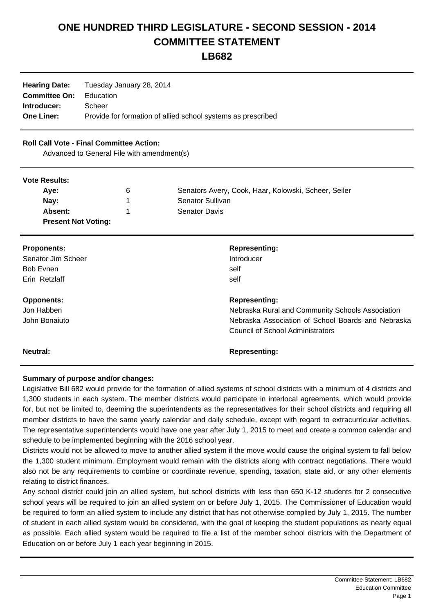# **ONE HUNDRED THIRD LEGISLATURE - SECOND SESSION - 2014 COMMITTEE STATEMENT**

**LB682**

| <b>Hearing Date:</b> | Tuesday January 28, 2014                                     |
|----------------------|--------------------------------------------------------------|
| <b>Committee On:</b> | Education                                                    |
| Introducer:          | Scheer                                                       |
| <b>One Liner:</b>    | Provide for formation of allied school systems as prescribed |

### **Roll Call Vote - Final Committee Action:**

Advanced to General File with amendment(s)

#### **Vote Results:**

| Ave:                       | 6 | Senators Avery, Cook, Haar, Kolowski, Scheer, Seiler |
|----------------------------|---|------------------------------------------------------|
| Nay:                       |   | Senator Sullivan                                     |
| Absent:                    |   | <b>Senator Davis</b>                                 |
| <b>Present Not Voting:</b> |   |                                                      |

| <b>Proponents:</b> | <b>Representing:</b>                               |
|--------------------|----------------------------------------------------|
| Senator Jim Scheer | Introducer                                         |
| Bob Evnen          | self                                               |
| Erin Retzlaff      | self                                               |
| <b>Opponents:</b>  | <b>Representing:</b>                               |
| Jon Habben         | Nebraska Rural and Community Schools Association   |
| John Bonaiuto      | Nebraska Association of School Boards and Nebraska |
|                    | Council of School Administrators                   |
| Neutral:           | <b>Representing:</b>                               |

## **Summary of purpose and/or changes:**

Legislative Bill 682 would provide for the formation of allied systems of school districts with a minimum of 4 districts and 1,300 students in each system. The member districts would participate in interlocal agreements, which would provide for, but not be limited to, deeming the superintendents as the representatives for their school districts and requiring all member districts to have the same yearly calendar and daily schedule, except with regard to extracurricular activities. The representative superintendents would have one year after July 1, 2015 to meet and create a common calendar and schedule to be implemented beginning with the 2016 school year.

Districts would not be allowed to move to another allied system if the move would cause the original system to fall below the 1,300 student minimum. Employment would remain with the districts along with contract negotiations. There would also not be any requirements to combine or coordinate revenue, spending, taxation, state aid, or any other elements relating to district finances.

Any school district could join an allied system, but school districts with less than 650 K-12 students for 2 consecutive school years will be required to join an allied system on or before July 1, 2015. The Commissioner of Education would be required to form an allied system to include any district that has not otherwise complied by July 1, 2015. The number of student in each allied system would be considered, with the goal of keeping the student populations as nearly equal as possible. Each allied system would be required to file a list of the member school districts with the Department of Education on or before July 1 each year beginning in 2015.